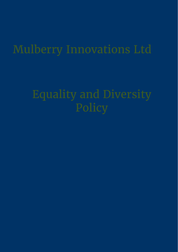# Mulberry Innovations Ltd

# Equality and Diversity Policy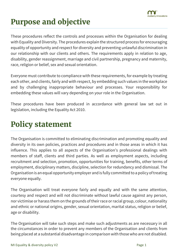

### **Purpose and objective**

These procedures reflect the controls and processes within the Organisation for dealing with Equality and Diversity. The procedures explain the structured process for encouraging equality of opportunity and respect for diversity and preventing unlawful discrimination in our relationship with our clients and others. The requirements apply in relation to age, disability, gender reassignment, marriage and civil partnership, pregnancy and maternity, race, religion or belief, sex and sexual orientation.

Everyone must contribute to compliance with these requirements, for example by treating each other, and clients, fairly and with respect, by embedding such values in the workplace and by challenging inappropriate behaviour and processes. Your responsibility for embedding these values will vary depending on your role in the Organisation.

These procedures have been produced in accordance with general law set out in legislation, including the Equality Act 2010.

### **Policy statement**

The Organisation is committed to eliminating discrimination and promoting equality and diversity in its own policies, practices and procedures and in those areas in which it has influence. This applies to all aspects of the Organisation's professional dealings with members of staff, clients and third parties. As well as employment aspects, including recruitment and selection, promotion, opportunities for training, benefits, other terms of employment, disciplinary matters, discipline, selection for redundancy and dismissal. The Organisation is an equal opportunity employer and is fully committed to a policy of treating everyone equally.

The Organisation will treat everyone fairly and equally and with the same attention, courtesy and respect and will not discriminate without lawful cause against any person, nor victimise or harass them on the grounds of their race or racial group, colour, nationality and ethnic or national origins, gender, sexual orientation, marital status, religion or belief, age or disability.

The Organisation will take such steps and make such adjustments as are necessary in all the circumstances in order to prevent any members of the Organisation and clients from being placed at a substantial disadvantage in comparison with those who are not disabled.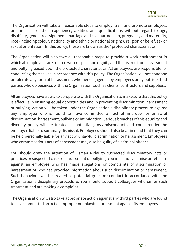The Organisation will take all reasonable steps to employ, train and promote employees on the basis of their experience, abilities and qualifications without regard to age, disability, gender reassignment, marriage and civil partnership, pregnancy and maternity, race (including colour, nationality and ethnic or national origins), religion or belief, sex or sexual orientation. In this policy, these are known as the "protected characteristics".

The Organisation will also take all reasonable steps to provide a work environment in which all employees are treated with respect and dignity and that is free from harassment and bullying based upon the protected characteristics. All employees are responsible for conducting themselves in accordance with this policy. The Organisation will not condone or tolerate any form of harassment, whether engaged in by employees or by outside third parties who do business with the Organisation, such as clients, contractors and suppliers.

All employees have a duty to co-operate with the Organisation to make sure that this policy is effective in ensuring equal opportunities and in preventing discrimination, harassment or bullying. Action will be taken under the Organisation's disciplinary procedure against any employee who is found to have committed an act of improper or unlawful discrimination, harassment, bullying or intimidation. Serious breaches of this equality and diversity policy will be treated as potential gross misconduct and could render the employee liable to summary dismissal. Employees should also bear in mind that they can be held personally liable for any act of unlawful discrimination or harassment. Employees who commit serious acts of harassment may also be guilty of a criminal offence.

You should draw the attention of Osman Nidai to suspected discriminatory acts or practices or suspected cases of harassment or bullying. You must not victimise or retaliate against an employee who has made allegations or complaints of discrimination or harassment or who has provided information about such discrimination or harassment. Such behaviour will be treated as potential gross misconduct in accordance with the Organisation's disciplinary procedure. You should support colleagues who suffer such treatment and are making a complaint.

The Organisation will also take appropriate action against any third parties who are found to have committed an act of improper or unlawful harassment against its employees.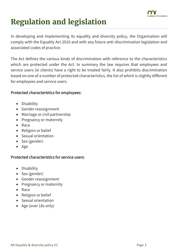

# **Regulation and legislation**

In developing and implementing its equality and diversity policy, the Organisation will comply with the Equality Act 2010 and with any future anti-discrimination legislation and associated codes of practice.

The Act defines the various kinds of discrimination with reference to the characteristics which are protected under the Act. In summary the law requires that employees and service users (ie clients) have a right to be treated fairly. It also prohibits discrimination based on one of a number of protected characteristics, the list of which is slightly different for employees and service users.

#### Protected characteristics for employees:

- Disability
- Gender reassignment
- Marriage or civil partnership
- Pregnancy or maternity
- Race
- Religion or belief
- Sexual orientation
- Sex (gender)
- Age

#### Protected characteristics for service users:

- Disability
- Sex (gender)
- Gender reassignment
- Pregnancy or maternity
- Race
- Religion or belief
- Sexual orientation
- Age (over 18s only)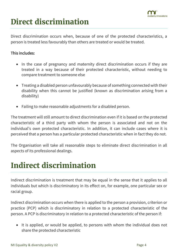

## **Direct discrimination**

Direct discrimination occurs when, because of one of the protected characteristics, a person is treated less favourably than others are treated or would be treated.

#### This includes:

- In the case of pregnancy and maternity direct discrimination occurs if they are treated in a way because of their protected characteristic, without needing to compare treatment to someone else
- Treating a disabled person unfavourably because of something connected with their disability when this cannot be justified (known as discrimination arising from a disability)
- Failing to make reasonable adjustments for a disabled person.

The treatment will still amount to direct discrimination even if it is based on the protected characteristic of a third party with whom the person is associated and not on the individual's own protected characteristic. In addition, it can include cases where it is perceived that a person has a particular protected characteristic when in fact they do not.

The Organisation will take all reasonable steps to eliminate direct discrimination in all aspects of its professional dealings.

### **Indirect discrimination**

Indirect discrimination is treatment that may be equal in the sense that it applies to all individuals but which is discriminatory in its effect on, for example, one particular sex or racial group.

Indirect discrimination occurs when there is applied to the person a provision, criterion or practice (PCP) which is discriminatory in relation to a protected characteristic of the person. A PCP is discriminatory in relation to a protected characteristic of the person if:

• It is applied, or would be applied, to persons with whom the individual does not share the protected characteristic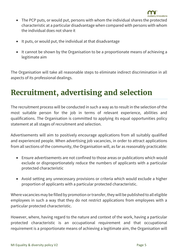

- The PCP puts, or would put, persons with whom the individual shares the protected characteristic at a particular disadvantage when compared with persons with whom the individual does not share it
- It puts, or would put, the individual at that disadvantage
- It cannot be shown by the Organisation to be a proportionate means of achieving a legitimate aim

The Organisation will take all reasonable steps to eliminate indirect discrimination in all aspects of its professional dealings.

### **Recruitment, advertising and selection**

The recruitment process will be conducted in such a way as to result in the selection of the most suitable person for the job in terms of relevant experience, abilities and qualifications. The Organisation is committed to applying its equal opportunities policy statement at all stages of recruitment and selection.

Advertisements will aim to positively encourage applications from all suitably qualified and experienced people. When advertising job vacancies, in order to attract applications from all sections of the community, the Organisation will, as far as reasonably practicable:

- Ensure advertisements are not confined to those areas or publications which would exclude or disproportionately reduce the numbers of applicants with a particular protected characteristic
- Avoid setting any unnecessary provisions or criteria which would exclude a higher proportion of applicants with a particular protected characteristic.

Where vacancies may be filled by promotion or transfer, they will be published to all eligible employees in such a way that they do not restrict applications from employees with a particular protected characteristic.

However, where, having regard to the nature and context of the work, having a particular protected characteristic is an occupational requirement and that occupational requirement is a proportionate means of achieving a legitimate aim, the Organisation will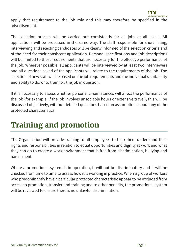

apply that requirement to the job role and this may therefore be specified in the advertisement.

The selection process will be carried out consistently for all jobs at all levels. All applications will be processed in the same way. The staff responsible for short-listing, interviewing and selecting candidates will be clearly informed of the selection criteria and of the need for their consistent application. Personal specifications and job descriptions will be limited to those requirements that are necessary for the effective performance of the job. Wherever possible, all applicants will be interviewed by at least two interviewers and all questions asked of the applicants will relate to the requirements of the job. The selection of new staff will be based on the job requirements and the individual's suitability and ability to do, or to train for, the job in question.

If it is necessary to assess whether personal circumstances will affect the performance of the job (for example, if the job involves unsociable hours or extensive travel), this will be discussed objectively, without detailed questions based on assumptions about any of the protected characteristics.

### **Training and promotion**

The Organisation will provide training to all employees to help them understand their rights and responsibilities in relation to equal opportunities and dignity at work and what they can do to create a work environment that is free from discrimination, bullying and harassment.

Where a promotional system is in operation, it will not be discriminatory and it will be checked from time to time to assess how it is working in practice. When a group of workers who predominantly have a particular protected characteristic appear to be excluded from access to promotion, transfer and training and to other benefits, the promotional system will be reviewed to ensure there is no unlawful discrimination.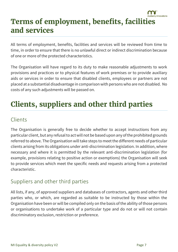#### mulberry innovations **Terms of employment, benefits, facilities and services**

All terms of employment, benefits, facilities and services will be reviewed from time to time, in order to ensure that there is no unlawful direct or indirect discrimination because of one or more of the protected characteristics.

The Organisation will have regard to its duty to make reasonable adjustments to work provisions and practices or to physical features of work premises or to provide auxiliary aids or services in order to ensure that disabled clients, employees or partners are not placed at a substantial disadvantage in comparison with persons who are not disabled. No costs of any such adjustments will be passed on.

### **Clients, suppliers and other third parties**

### **Clients**

The Organisation is generally free to decide whether to accept instructions from any particular client, but any refusal to act will not be based upon any of the prohibited grounds referred to above. The Organisation will take steps to meet the different needs of particular clients arising from its obligations under anti-discrimination legislation. In addition, where necessary and where it is permitted by the relevant anti-discrimination legislation (for example, provisions relating to positive action or exemptions) the Organisation will seek to provide services which meet the specific needs and requests arising from a protected characteristic.

### Suppliers and other third parties

All lists, if any, of approved suppliers and databases of contractors, agents and other third parties who, or which, are regarded as suitable to be instructed by those within the Organisation have been or will be compiled only on the basis of the ability of those persons or organisations to undertake work of a particular type and do not or will not contain discriminatory exclusion, restriction or preference.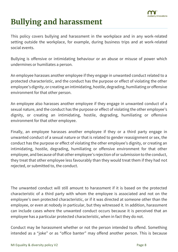

## **Bullying and harassment**

This policy covers bullying and harassment in the workplace and in any work-related setting outside the workplace, for example, during business trips and at work-related social events.

Bullying is offensive or intimidating behaviour or an abuse or misuse of power which undermines or humiliates a person.

An employee harasses another employee if they engage in unwanted conduct related to a protected characteristic, and the conduct has the purpose or effect of violating the other employee's dignity, or creating an intimidating, hostile, degrading, humiliating or offensive environment for that other person.

An employee also harasses another employee if they engage in unwanted conduct of a sexual nature, and the conduct has the purpose or effect of violating the other employee's dignity, or creating an intimidating, hostile, degrading, humiliating or offensive environment for that other employee.

Finally, an employee harasses another employee if they or a third party engage in unwanted conduct of a sexual nature or that is related to gender reassignment or sex, the conduct has the purpose or effect of violating the other employee's dignity, or creating an intimidating, hostile, degrading, humiliating or offensive environment for that other employee, and because of that other employee's rejection of or submission to the conduct, they treat that other employee less favourably than they would treat them if they had not rejected, or submitted to, the conduct.

The unwanted conduct will still amount to harassment if it is based on the protected characteristic of a third party with whom the employee is associated and not on the employee's own protected characteristic, or if it was directed at someone other than the employee, or even at nobody in particular, but they witnessed it. In addition, harassment can include cases where the unwanted conduct occurs because it is perceived that an employee has a particular protected characteristic, when in fact they do not.

Conduct may be harassment whether or not the person intended to offend. Something intended as a "joke" or as "office banter" may offend another person. This is because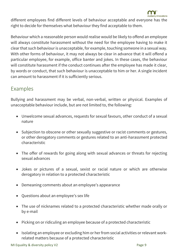nulberry innovations

different employees find different levels of behaviour acceptable and everyone has the right to decide for themselves what behaviour they find acceptable to them.

Behaviour which a reasonable person would realise would be likely to offend an employee will always constitute harassment without the need for the employee having to make it clear that such behaviour is unacceptable, for example, touching someone in a sexual way. With other forms of behaviour, it may not always be clear in advance that it will offend a particular employee, for example, office banter and jokes. In these cases, the behaviour will constitute harassment if the conduct continues after the employee has made it clear, by words or conduct, that such behaviour is unacceptable to him or her. A single incident can amount to harassment if it is sufficiently serious.

#### Examples

Bullying and harassment may be verbal, non-verbal, written or physical. Examples of unacceptable behaviour include, but are not limited to, the following:

- Unwelcome sexual advances, requests for sexual favours, other conduct of a sexual nature
- Subjection to obscene or other sexually suggestive or racist comments or gestures, or other derogatory comments or gestures related to an anti-harassment protected characteristic
- The offer of rewards for going along with sexual advances or threats for rejecting sexual advances
- Jokes or pictures of a sexual, sexist or racial nature or which are otherwise derogatory in relation to a protected characteristic
- Demeaning comments about an employee's appearance
- Questions about an employee's sex life
- The use of nicknames related to a protected characteristic whether made orally or by e-mail
- Picking on or ridiculing an employee because of a protected characteristic
- Isolating an employee or excluding him or her from social activities or relevant workrelated matters because of a protected characteristic

MI Equality & diversity policy V2 Page 9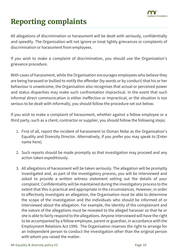

## **Reporting complaints**

All allegations of discrimination or harassment will be dealt with seriously, confidentially and speedily. The Organisation will not ignore or treat lightly grievances or complaints of discrimination or harassment from employees.

If you wish to make a complaint of discrimination, you should use the Organisation's grievance procedure.

With cases of harassment, while the Organisation encourages employees who believe they are being harassed or bullied to notify the offender (by words or by conduct) that his or her behaviour is unwelcome, the Organisation also recognises that actual or perceived power and status disparities may make such confrontation impractical. In the event that such informal direct communication is either ineffective or impractical, or the situation is too serious to be dealt with informally, you should follow the procedure set out below.

If you wish to make a complaint of harassment, whether against a fellow employee or a third party, such as a client, contractor or supplier, you should follow the following steps:

- 1. First of all, report the incident of harassment to Osman Nidai as the Organisation's Equality and Diversity Director. Alternatively, if you prefer you may speak to [Enter name here].
- 2. Such reports should be made promptly so that investigation may proceed and any action taken expeditiously.
- 3. All allegations of harassment will be taken seriously. The allegation will be promptly investigated and, as part of the investigatory process, you will be interviewed and asked to provide a written witness statement setting out the details of your complaint. Confidentiality will be maintained during the investigatory process to the extent that this is practical and appropriate in the circumstances. However, in order to effectively investigate an allegation, the Organisation must be able to determine the scope of the investigation and the individuals who should be informed of or interviewed about the allegation. For example, the identity of the complainant and the nature of the allegations must be revealed to the alleged harasser so that he or she is able to fairly respond to the allegations. Anyone interviewed will have the right to be accompanied by a fellow employee, parent or guardian, in accordance with the Employment Relations Act 1999. The Organisation reserves the right to arrange for an independent person to conduct the investigation other than the original person with whom you raised the matter.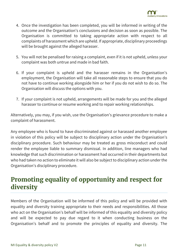

- 4. Once the investigation has been completed, you will be informed in writing of the outcome and the Organisation's conclusions and decision as soon as possible. The Organisation is committed to taking appropriate action with respect to all complaints of harassment which are upheld. If appropriate, disciplinary proceedings will be brought against the alleged harasser.
- 5. You will not be penalised for raising a complaint, even if it is not upheld, unless your complaint was both untrue and made in bad faith.
- 6. If your complaint is upheld and the harasser remains in the Organisation's employment, the Organisation will take all reasonable steps to ensure that you do not have to continue working alongside him or her if you do not wish to do so. The Organisation will discuss the options with you.
- 7. If your complaint is not upheld, arrangements will be made for you and the alleged harasser to continue or resume working and to repair working relationships.

Alternatively, you may, if you wish, use the Organisation's grievance procedure to make a complaint of harassment.

Any employee who is found to have discriminated against or harassed another employee in violation of this policy will be subject to disciplinary action under the Organisation's disciplinary procedure. Such behaviour may be treated as gross misconduct and could render the employee liable to summary dismissal. In addition, line managers who had knowledge that such discrimination or harassment had occurred in their departments but who had taken no action to eliminate it will also be subject to disciplinary action under the Organisation's disciplinary procedure.

### **Promoting equality of opportunity and respect for diversity**

Members of the Organisation will be informed of this policy and will be provided with equality and diversity training appropriate to their needs and responsibilities. All those who act on the Organisation's behalf will be informed of this equality and diversity policy and will be expected to pay due regard to it when conducting business on the Organisation's behalf and to promote the principles of equality and diversity. The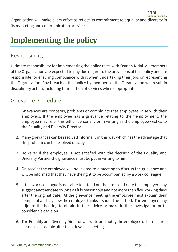

Organisation will make every effort to reflect its commitment to equality and diversity in its marketing and communication activities.

### **Implementing the policy**

#### Responsibility

Ultimate responsibility for implementing the policy rests with Osman Nidai. All members of the Organisation are expected to pay due regard to the provisions of this policy and are responsible for ensuring compliance with it when undertaking their jobs or representing the Organisation. Any breach of this policy by members of the Organisation will result in disciplinary action, including termination of services where appropriate.

#### Grievance Procedure

- 1. Grievances are concerns, problems or complaints that employees raise with their employers. If the employee has a grievance relating to their employment, the employee may refer this either personally or in writing as the employee wishes to the Equality and Diversity Director
- 2. Many grievances can be resolved informally in this way which has the advantage that the problem can be resolved quickly
- 3. However if the employee is not satisfied with the decision of the Equality and Diversity Partner the grievance must be put in writing to him
- 4. On receipt the employee will be invited to a meeting to discuss the grievance and will be informed that they have the right to be accompanied by a work colleague
- 5. If the work colleague is not able to attend on the proposed date the employer may suggest another date so long as it is reasonable and not more than five working days after the original date. At the grievance meeting the employee must explain their complaint and say how the employee thinks it should be settled. The employer may adjourn the hearing to obtain further advice or make further investigation or to consider his decision
- 6. The Equality and Diversity Director will write and notify the employee of his decision as soon as possible after the grievance meeting